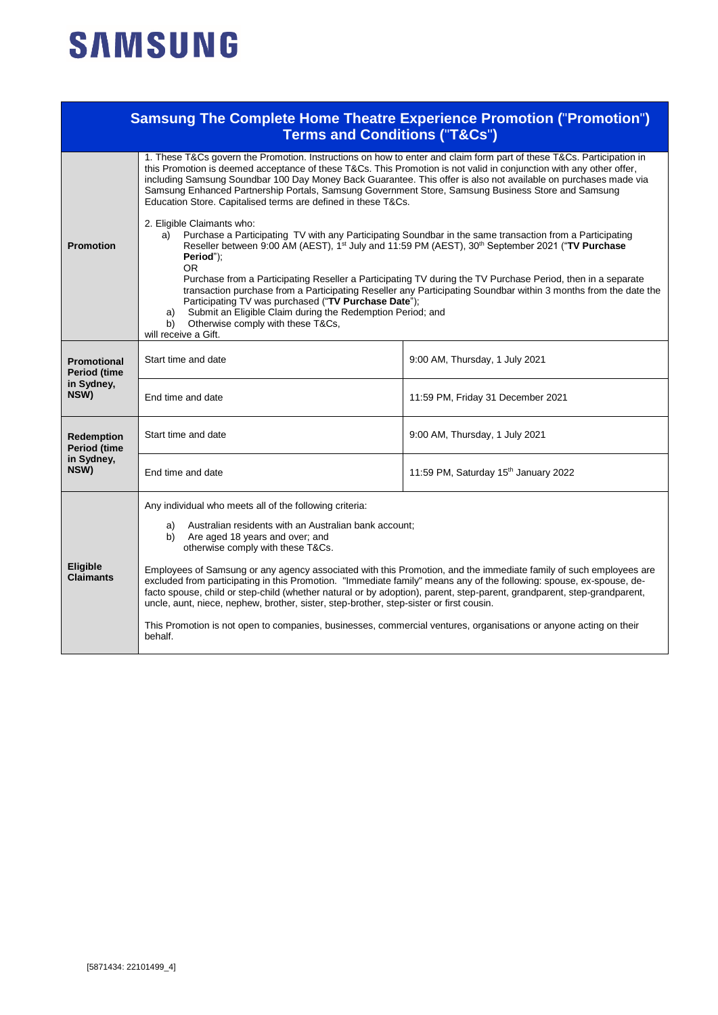## **SAMSUNG**

|                                                                | <b>Samsung The Complete Home Theatre Experience Promotion ("Promotion")</b><br><b>Terms and Conditions ("T&amp;Cs")</b>                                                                                                                                                                                                                                                                                                                                                                                                                                                                                                                                                                                                                                                                                 |                                      |  |  |
|----------------------------------------------------------------|---------------------------------------------------------------------------------------------------------------------------------------------------------------------------------------------------------------------------------------------------------------------------------------------------------------------------------------------------------------------------------------------------------------------------------------------------------------------------------------------------------------------------------------------------------------------------------------------------------------------------------------------------------------------------------------------------------------------------------------------------------------------------------------------------------|--------------------------------------|--|--|
|                                                                | 1. These T&Cs govern the Promotion. Instructions on how to enter and claim form part of these T&Cs. Participation in<br>this Promotion is deemed acceptance of these T&Cs. This Promotion is not valid in conjunction with any other offer,<br>including Samsung Soundbar 100 Day Money Back Guarantee. This offer is also not available on purchases made via<br>Samsung Enhanced Partnership Portals, Samsung Government Store, Samsung Business Store and Samsung<br>Education Store. Capitalised terms are defined in these T&Cs.<br>2. Eligible Claimants who:                                                                                                                                                                                                                                     |                                      |  |  |
| <b>Promotion</b>                                               | Purchase a Participating TV with any Participating Soundbar in the same transaction from a Participating<br>a)<br>Reseller between 9:00 AM (AEST), 1 <sup>st</sup> July and 11:59 PM (AEST), 30 <sup>th</sup> September 2021 ("TV Purchase<br>Period");<br><b>OR</b><br>Purchase from a Participating Reseller a Participating TV during the TV Purchase Period, then in a separate<br>transaction purchase from a Participating Reseller any Participating Soundbar within 3 months from the date the<br>Participating TV was purchased ("TV Purchase Date");<br>Submit an Eligible Claim during the Redemption Period; and<br>a)<br>Otherwise comply with these T&Cs,<br>b)<br>will receive a Gift.                                                                                                   |                                      |  |  |
| <b>Promotional</b><br>Period (time<br>in Sydney,<br>NSW)       | Start time and date                                                                                                                                                                                                                                                                                                                                                                                                                                                                                                                                                                                                                                                                                                                                                                                     | 9:00 AM, Thursday, 1 July 2021       |  |  |
|                                                                | End time and date                                                                                                                                                                                                                                                                                                                                                                                                                                                                                                                                                                                                                                                                                                                                                                                       | 11:59 PM, Friday 31 December 2021    |  |  |
| <b>Redemption</b><br><b>Period (time</b><br>in Sydney,<br>NSW) | Start time and date                                                                                                                                                                                                                                                                                                                                                                                                                                                                                                                                                                                                                                                                                                                                                                                     | 9:00 AM, Thursday, 1 July 2021       |  |  |
|                                                                | End time and date                                                                                                                                                                                                                                                                                                                                                                                                                                                                                                                                                                                                                                                                                                                                                                                       | 11:59 PM, Saturday 15th January 2022 |  |  |
| <b>Eligible</b><br><b>Claimants</b>                            | Any individual who meets all of the following criteria:<br>Australian residents with an Australian bank account;<br>a)<br>Are aged 18 years and over; and<br>b)<br>otherwise comply with these T&Cs.<br>Employees of Samsung or any agency associated with this Promotion, and the immediate family of such employees are<br>excluded from participating in this Promotion. "Immediate family" means any of the following: spouse, ex-spouse, de-<br>facto spouse, child or step-child (whether natural or by adoption), parent, step-parent, grandparent, step-grandparent,<br>uncle, aunt, niece, nephew, brother, sister, step-brother, step-sister or first cousin.<br>This Promotion is not open to companies, businesses, commercial ventures, organisations or anyone acting on their<br>behalf. |                                      |  |  |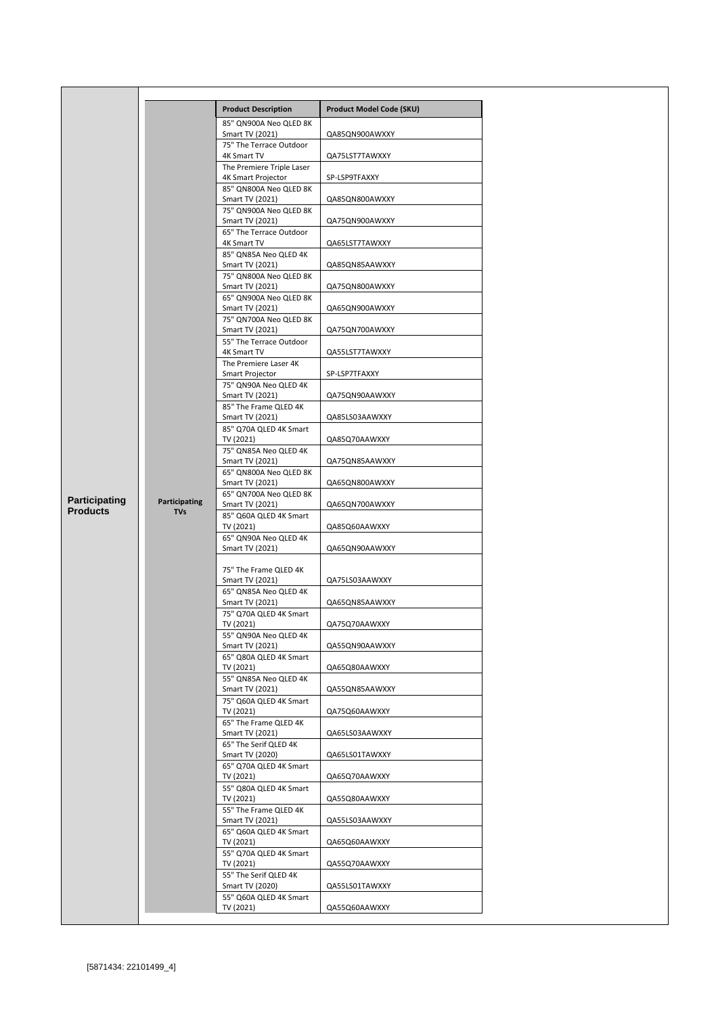|                 |                             | <b>Product Description</b>                   | Product Model Code (SKU) |
|-----------------|-----------------------------|----------------------------------------------|--------------------------|
|                 |                             | 85" QN900A Neo QLED 8K<br>Smart TV (2021)    | QA85QN900AWXXY           |
|                 |                             | 75" The Terrace Outdoor<br>4K Smart TV       | QA75LST7TAWXXY           |
|                 |                             | The Premiere Triple Laser                    |                          |
|                 |                             | 4K Smart Projector<br>85" QN800A Neo QLED 8K | SP-LSP9TFAXXY            |
|                 |                             | Smart TV (2021)                              | QA85QN800AWXXY           |
|                 |                             | 75" QN900A Neo QLED 8K<br>Smart TV (2021)    | QA75QN900AWXXY           |
|                 |                             | 65" The Terrace Outdoor<br>4K Smart TV       | QA65LST7TAWXXY           |
|                 |                             | 85" QN85A Neo QLED 4K<br>Smart TV (2021)     | QA85QN85AAWXXY           |
|                 |                             | 75" QN800A Neo QLED 8K<br>Smart TV (2021)    | QA75QN800AWXXY           |
|                 |                             | 65" QN900A Neo QLED 8K<br>Smart TV (2021)    | QA65QN900AWXXY           |
|                 |                             | 75" QN700A Neo QLED 8K<br>Smart TV (2021)    | QA75QN700AWXXY           |
|                 |                             | 55" The Terrace Outdoor<br>4K Smart TV       | QA55LST7TAWXXY           |
|                 |                             | The Premiere Laser 4K<br>Smart Projector     | SP-LSP7TFAXXY            |
|                 |                             | 75" QN90A Neo QLED 4K<br>Smart TV (2021)     | QA75QN90AAWXXY           |
|                 |                             | 85" The Frame QLED 4K<br>Smart TV (2021)     | QA85LS03AAWXXY           |
|                 |                             | 85" Q70A QLED 4K Smart<br>TV (2021)          | QA85Q70AAWXXY            |
|                 |                             | 75" QN85A Neo QLED 4K<br>Smart TV (2021)     | QA75QN85AAWXXY           |
|                 |                             | 65" QN800A Neo QLED 8K                       |                          |
| Participating   | Participating<br><b>TVs</b> | Smart TV (2021)<br>65" QN700A Neo QLED 8K    | QA65QN800AWXXY           |
| <b>Products</b> |                             | Smart TV (2021)<br>85" Q60A QLED 4K Smart    | QA65QN700AWXXY           |
|                 |                             | TV (2021)<br>65" QN90A Neo QLED 4K           | QA85Q60AAWXXY            |
|                 |                             | Smart TV (2021)                              | QA65QN90AAWXXY           |
|                 |                             | 75" The Frame QLED 4K<br>Smart TV (2021)     | QA75LS03AAWXXY           |
|                 |                             | 65" QN85A Neo QLED 4K                        |                          |
|                 |                             | Smart TV (2021)<br>75" Q70A QLED 4K Smart    | QA65QN85AAWXXY           |
|                 |                             | TV (2021)<br>55" QN90A Neo QLED 4K           | QA75Q70AAWXXY            |
|                 |                             | Smart TV (2021)                              | QA55QN90AAWXXY           |
|                 |                             | 65" Q80A QLED 4K Smart<br>TV (2021)          | QA65Q80AAWXXY            |
|                 |                             | 55" QN85A Neo QLED 4K<br>Smart TV (2021)     | QA55QN85AAWXXY           |
|                 |                             | 75" Q60A QLED 4K Smart<br>TV (2021)          | QA75Q60AAWXXY            |
|                 |                             | 65" The Frame QLED 4K<br>Smart TV (2021)     | QA65LS03AAWXXY           |
|                 |                             | 65" The Serif QLED 4K<br>Smart TV (2020)     | QA65LS01TAWXXY           |
|                 |                             | 65" Q70A QLED 4K Smart<br>TV (2021)          | QA65Q70AAWXXY            |
|                 |                             | 55" Q80A QLED 4K Smart<br>TV (2021)          | QA55Q80AAWXXY            |
|                 |                             | 55" The Frame QLED 4K<br>Smart TV (2021)     | QA55LS03AAWXXY           |
|                 |                             | 65" Q60A QLED 4K Smart<br>TV (2021)          | QA65Q60AAWXXY            |
|                 |                             | 55" Q70A QLED 4K Smart<br>TV (2021)          | QA55Q70AAWXXY            |
|                 |                             | 55" The Serif QLED 4K<br>Smart TV (2020)     | QA55LS01TAWXXY           |
|                 |                             | 55" Q60A QLED 4K Smart                       |                          |
|                 |                             | TV (2021)                                    | QA55Q60AAWXXY            |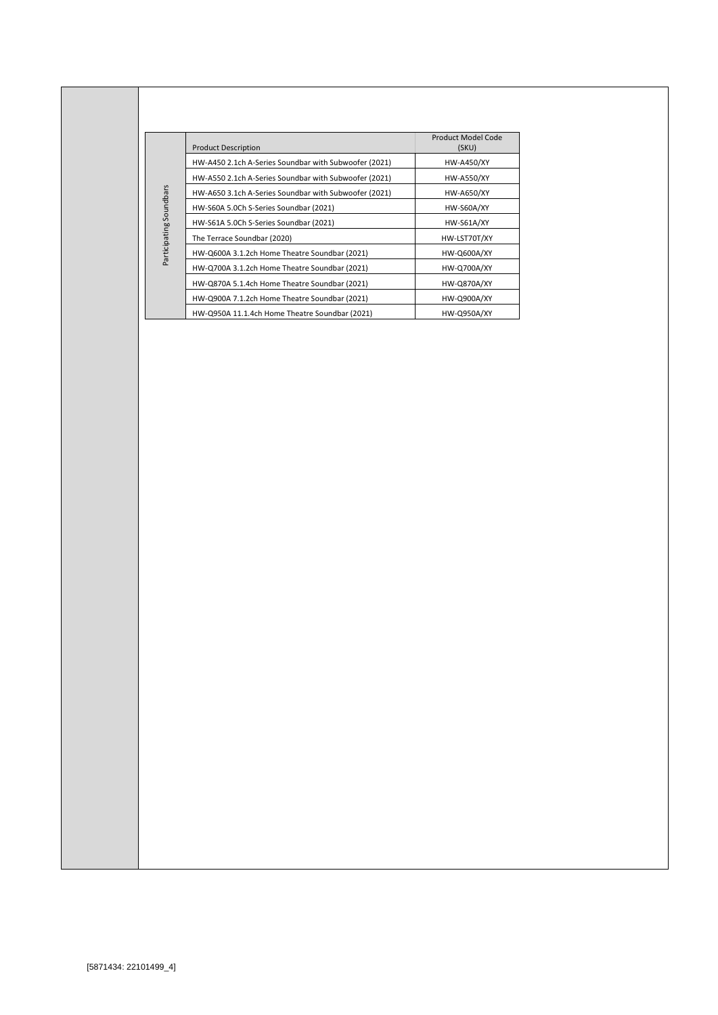|                         | <b>Product Description</b>                            | Product Model Code<br>(SKU) |
|-------------------------|-------------------------------------------------------|-----------------------------|
|                         | HW-A450 2.1ch A-Series Soundbar with Subwoofer (2021) | <b>HW-A450/XY</b>           |
|                         | HW-A550 2.1ch A-Series Soundbar with Subwoofer (2021) | <b>HW-A550/XY</b>           |
|                         | HW-A650 3.1ch A-Series Soundbar with Subwoofer (2021) | HW-A650/XY                  |
| Participating Soundbars | HW-S60A 5.0Ch S-Series Soundbar (2021)                | HW-S60A/XY                  |
|                         | HW-S61A 5.0Ch S-Series Soundbar (2021)                | <b>HW-S61A/XY</b>           |
|                         | The Terrace Soundbar (2020)                           | HW-LST70T/XY                |
|                         | HW-Q600A 3.1.2ch Home Theatre Soundbar (2021)         | HW-Q600A/XY                 |
|                         | HW-Q700A 3.1.2ch Home Theatre Soundbar (2021)         | HW-Q700A/XY                 |
|                         | HW-Q870A 5.1.4ch Home Theatre Soundbar (2021)         | HW-Q870A/XY                 |
|                         | HW-Q900A 7.1.2ch Home Theatre Soundbar (2021)         | HW-Q900A/XY                 |
|                         | HW-Q950A 11.1.4ch Home Theatre Soundbar (2021)        | <b>HW-Q950A/XY</b>          |
|                         |                                                       |                             |
|                         |                                                       |                             |
|                         |                                                       |                             |
| [5871434: 22101499_4]   |                                                       |                             |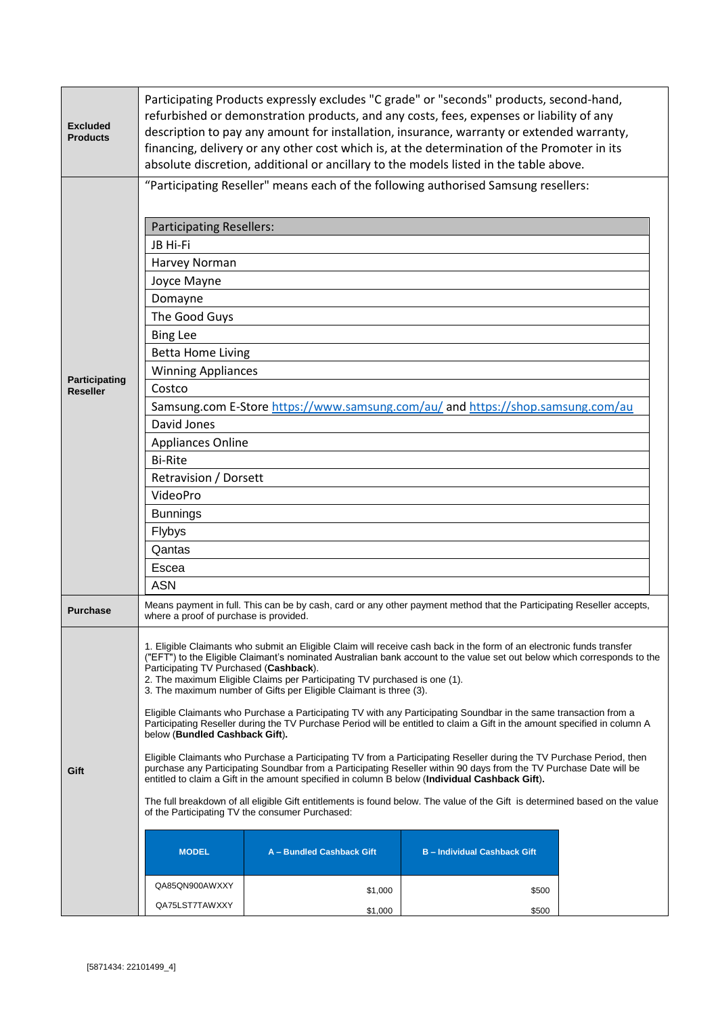|                                  | <b>Participating Resellers:</b><br>JB Hi-Fi                                                                                                                                                                                                                                                                                                                                                                                                                                                                                                                                                                                                                                                                                                                                                                                                                                                                                                                                                                                                                                                                                                                                                                                                                                                                                                                                                                                        |  | "Participating Reseller" means each of the following authorised Samsung resellers: |  |
|----------------------------------|------------------------------------------------------------------------------------------------------------------------------------------------------------------------------------------------------------------------------------------------------------------------------------------------------------------------------------------------------------------------------------------------------------------------------------------------------------------------------------------------------------------------------------------------------------------------------------------------------------------------------------------------------------------------------------------------------------------------------------------------------------------------------------------------------------------------------------------------------------------------------------------------------------------------------------------------------------------------------------------------------------------------------------------------------------------------------------------------------------------------------------------------------------------------------------------------------------------------------------------------------------------------------------------------------------------------------------------------------------------------------------------------------------------------------------|--|------------------------------------------------------------------------------------|--|
| Participating<br><b>Reseller</b> | Harvey Norman<br>Joyce Mayne<br>Domayne<br>The Good Guys<br><b>Bing Lee</b><br><b>Betta Home Living</b><br><b>Winning Appliances</b><br>Costco<br>David Jones<br><b>Appliances Online</b><br><b>Bi-Rite</b><br><b>Retravision / Dorsett</b><br>VideoPro<br><b>Bunnings</b><br>Flybys<br>Qantas<br>Escea<br><b>ASN</b>                                                                                                                                                                                                                                                                                                                                                                                                                                                                                                                                                                                                                                                                                                                                                                                                                                                                                                                                                                                                                                                                                                              |  | Samsung.com E-Store https://www.samsung.com/au/ and https://shop.samsung.com/au    |  |
| <b>Purchase</b>                  | Means payment in full. This can be by cash, card or any other payment method that the Participating Reseller accepts,<br>where a proof of purchase is provided.                                                                                                                                                                                                                                                                                                                                                                                                                                                                                                                                                                                                                                                                                                                                                                                                                                                                                                                                                                                                                                                                                                                                                                                                                                                                    |  |                                                                                    |  |
| Gift                             | 1. Eligible Claimants who submit an Eligible Claim will receive cash back in the form of an electronic funds transfer<br>("EFT") to the Eligible Claimant's nominated Australian bank account to the value set out below which corresponds to the<br>Participating TV Purchased (Cashback).<br>2. The maximum Eligible Claims per Participating TV purchased is one (1).<br>3. The maximum number of Gifts per Eligible Claimant is three (3).<br>Eligible Claimants who Purchase a Participating TV with any Participating Soundbar in the same transaction from a<br>Participating Reseller during the TV Purchase Period will be entitled to claim a Gift in the amount specified in column A<br>below (Bundled Cashback Gift).<br>Eligible Claimants who Purchase a Participating TV from a Participating Reseller during the TV Purchase Period, then<br>purchase any Participating Soundbar from a Participating Reseller within 90 days from the TV Purchase Date will be<br>entitled to claim a Gift in the amount specified in column B below (Individual Cashback Gift).<br>The full breakdown of all eligible Gift entitlements is found below. The value of the Gift is determined based on the value<br>of the Participating TV the consumer Purchased:<br><b>MODEL</b><br>A - Bundled Cashback Gift<br><b>B-Individual Cashback Gift</b><br>QA85QN900AWXXY<br>\$1,000<br>\$500<br>QA75LST7TAWXXY<br>\$1,000<br>\$500 |  |                                                                                    |  |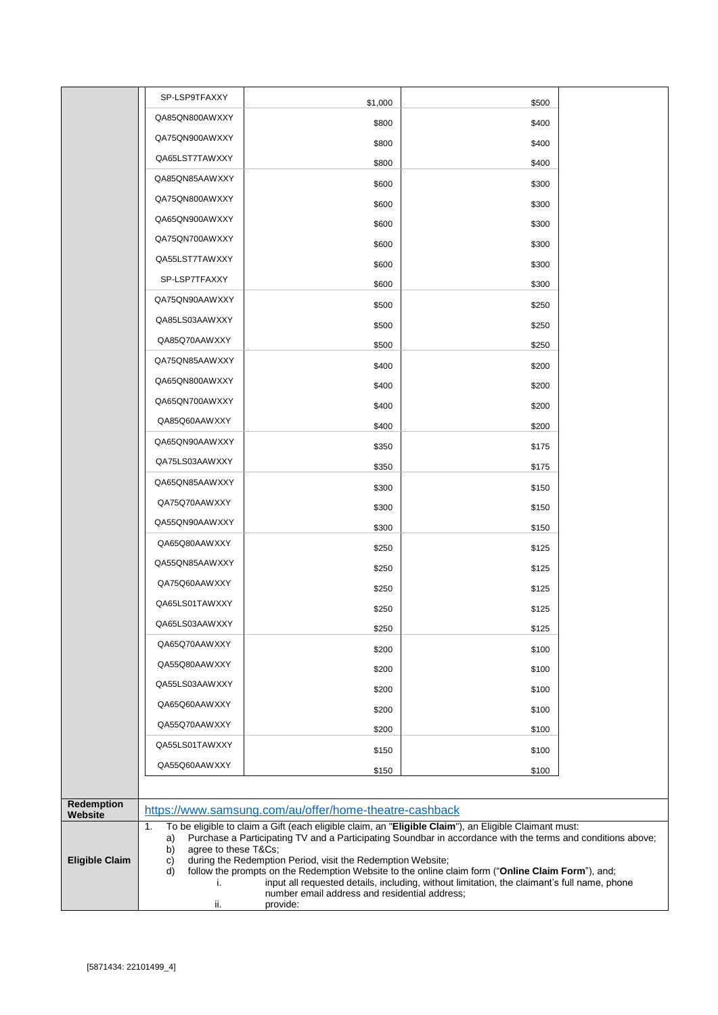|                              | SP-LSP9TFAXXY                         | \$1,000                                                                                                                                                                                          | \$500 |  |
|------------------------------|---------------------------------------|--------------------------------------------------------------------------------------------------------------------------------------------------------------------------------------------------|-------|--|
|                              | QA85QN800AWXXY                        | \$800                                                                                                                                                                                            | \$400 |  |
|                              | QA75QN900AWXXY                        | \$800                                                                                                                                                                                            | \$400 |  |
|                              | QA65LST7TAWXXY                        | \$800                                                                                                                                                                                            | \$400 |  |
|                              | QA85QN85AAWXXY                        | \$600                                                                                                                                                                                            | \$300 |  |
|                              | QA75QN800AWXXY                        | \$600                                                                                                                                                                                            | \$300 |  |
|                              | QA65QN900AWXXY                        | \$600                                                                                                                                                                                            | \$300 |  |
|                              | QA75QN700AWXXY                        | \$600                                                                                                                                                                                            | \$300 |  |
|                              | QA55LST7TAWXXY                        | \$600                                                                                                                                                                                            | \$300 |  |
|                              | SP-LSP7TFAXXY                         | \$600                                                                                                                                                                                            | \$300 |  |
|                              | QA75QN90AAWXXY                        | \$500                                                                                                                                                                                            | \$250 |  |
|                              | QA85LS03AAWXXY                        | \$500                                                                                                                                                                                            | \$250 |  |
|                              | QA85Q70AAWXXY                         | \$500                                                                                                                                                                                            | \$250 |  |
|                              | QA75QN85AAWXXY                        | \$400                                                                                                                                                                                            | \$200 |  |
|                              | QA65QN800AWXXY                        | \$400                                                                                                                                                                                            | \$200 |  |
|                              | QA65QN700AWXXY                        | \$400                                                                                                                                                                                            | \$200 |  |
|                              | QA85Q60AAWXXY                         | \$400                                                                                                                                                                                            | \$200 |  |
|                              | QA65QN90AAWXXY                        | \$350                                                                                                                                                                                            | \$175 |  |
|                              | QA75LS03AAWXXY                        | \$350                                                                                                                                                                                            | \$175 |  |
|                              | QA65QN85AAWXXY                        | \$300                                                                                                                                                                                            | \$150 |  |
|                              | QA75Q70AAWXXY                         | \$300                                                                                                                                                                                            | \$150 |  |
|                              | QA55QN90AAWXXY                        | \$300                                                                                                                                                                                            | \$150 |  |
|                              | QA65Q80AAWXXY                         | \$250                                                                                                                                                                                            | \$125 |  |
|                              | QA55QN85AAWXXY                        | \$250                                                                                                                                                                                            | \$125 |  |
|                              | QA75Q60AAWXXY                         | \$250                                                                                                                                                                                            | \$125 |  |
|                              | QA65LS01TAWXXY                        | \$250                                                                                                                                                                                            | \$125 |  |
|                              | QA65LS03AAWXXY                        | \$250                                                                                                                                                                                            | \$125 |  |
|                              | QA65Q70AAWXXY                         | \$200                                                                                                                                                                                            | \$100 |  |
|                              | QA55Q80AAWXXY                         | \$200                                                                                                                                                                                            | \$100 |  |
|                              | QA55LS03AAWXXY                        | \$200                                                                                                                                                                                            | \$100 |  |
|                              | QA65Q60AAWXXY                         | \$200                                                                                                                                                                                            | \$100 |  |
|                              | QA55Q70AAWXXY                         | \$200                                                                                                                                                                                            | \$100 |  |
|                              | QA55LS01TAWXXY                        | \$150                                                                                                                                                                                            | \$100 |  |
|                              | QA55Q60AAWXXY                         | \$150                                                                                                                                                                                            | \$100 |  |
|                              |                                       |                                                                                                                                                                                                  |       |  |
| <b>Redemption</b><br>Website |                                       | https://www.samsung.com/au/offer/home-theatre-cashback                                                                                                                                           |       |  |
|                              | 1.                                    | To be eligible to claim a Gift (each eligible claim, an "Eligible Claim"), an Eligible Claimant must:                                                                                            |       |  |
| <b>Eligible Claim</b>        | a)<br>agree to these T&Cs<br>b)<br>C) | Purchase a Participating TV and a Participating Soundbar in accordance with the terms and conditions above;<br>during the Redemption Period, visit the Redemption Website;                       |       |  |
|                              | d)<br>i.                              | follow the prompts on the Redemption Website to the online claim form ("Online Claim Form"), and;<br>input all requested details, including, without limitation, the claimant's full name, phone |       |  |
|                              | ii.                                   | number email address and residential address;<br>provide:                                                                                                                                        |       |  |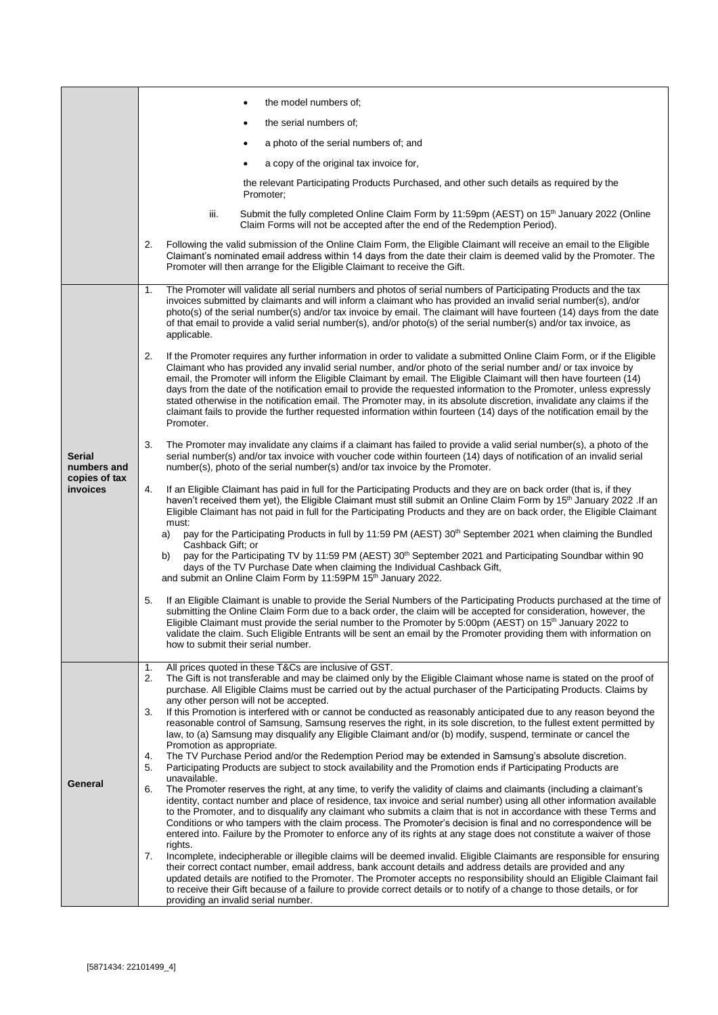|                                                           | the model numbers of;                                                                                                                                                                                                                                                                                                                                                                                                                                                                                                                                                                                                                                                                                                                                        |
|-----------------------------------------------------------|--------------------------------------------------------------------------------------------------------------------------------------------------------------------------------------------------------------------------------------------------------------------------------------------------------------------------------------------------------------------------------------------------------------------------------------------------------------------------------------------------------------------------------------------------------------------------------------------------------------------------------------------------------------------------------------------------------------------------------------------------------------|
|                                                           | the serial numbers of:                                                                                                                                                                                                                                                                                                                                                                                                                                                                                                                                                                                                                                                                                                                                       |
|                                                           | a photo of the serial numbers of; and                                                                                                                                                                                                                                                                                                                                                                                                                                                                                                                                                                                                                                                                                                                        |
|                                                           | a copy of the original tax invoice for,<br>$\bullet$                                                                                                                                                                                                                                                                                                                                                                                                                                                                                                                                                                                                                                                                                                         |
|                                                           | the relevant Participating Products Purchased, and other such details as required by the<br>Promoter;                                                                                                                                                                                                                                                                                                                                                                                                                                                                                                                                                                                                                                                        |
|                                                           | Submit the fully completed Online Claim Form by 11:59pm (AEST) on 15 <sup>th</sup> January 2022 (Online<br>iii.<br>Claim Forms will not be accepted after the end of the Redemption Period).                                                                                                                                                                                                                                                                                                                                                                                                                                                                                                                                                                 |
|                                                           | 2.<br>Following the valid submission of the Online Claim Form, the Eligible Claimant will receive an email to the Eligible<br>Claimant's nominated email address within 14 days from the date their claim is deemed valid by the Promoter. The<br>Promoter will then arrange for the Eligible Claimant to receive the Gift.                                                                                                                                                                                                                                                                                                                                                                                                                                  |
|                                                           | The Promoter will validate all serial numbers and photos of serial numbers of Participating Products and the tax<br>1.<br>invoices submitted by claimants and will inform a claimant who has provided an invalid serial number(s), and/or<br>photo(s) of the serial number(s) and/or tax invoice by email. The claimant will have fourteen (14) days from the date<br>of that email to provide a valid serial number(s), and/or photo(s) of the serial number(s) and/or tax invoice, as<br>applicable.                                                                                                                                                                                                                                                       |
| <b>Serial</b><br>numbers and<br>copies of tax<br>invoices | 2.<br>If the Promoter requires any further information in order to validate a submitted Online Claim Form, or if the Eligible<br>Claimant who has provided any invalid serial number, and/or photo of the serial number and/ or tax invoice by<br>email, the Promoter will inform the Eligible Claimant by email. The Eligible Claimant will then have fourteen (14)<br>days from the date of the notification email to provide the requested information to the Promoter, unless expressly<br>stated otherwise in the notification email. The Promoter may, in its absolute discretion, invalidate any claims if the<br>claimant fails to provide the further requested information within fourteen (14) days of the notification email by the<br>Promoter. |
|                                                           | 3.<br>The Promoter may invalidate any claims if a claimant has failed to provide a valid serial number(s), a photo of the<br>serial number(s) and/or tax invoice with voucher code within fourteen (14) days of notification of an invalid serial<br>number(s), photo of the serial number(s) and/or tax invoice by the Promoter.                                                                                                                                                                                                                                                                                                                                                                                                                            |
|                                                           | If an Eligible Claimant has paid in full for the Participating Products and they are on back order (that is, if they<br>4.<br>haven't received them yet), the Eligible Claimant must still submit an Online Claim Form by 15 <sup>th</sup> January 2022. If an<br>Eligible Claimant has not paid in full for the Participating Products and they are on back order, the Eligible Claimant<br>must:<br>pay for the Participating Products in full by 11:59 PM (AEST) 30 <sup>th</sup> September 2021 when claiming the Bundled<br>a)                                                                                                                                                                                                                          |
|                                                           | Cashback Gift; or<br>pay for the Participating TV by 11:59 PM (AEST) 30 <sup>th</sup> September 2021 and Participating Soundbar within 90<br>b)<br>days of the TV Purchase Date when claiming the Individual Cashback Gift,<br>and submit an Online Claim Form by 11:59PM 15 <sup>th</sup> January 2022.                                                                                                                                                                                                                                                                                                                                                                                                                                                     |
|                                                           | 5.<br>If an Eligible Claimant is unable to provide the Serial Numbers of the Participating Products purchased at the time of<br>submitting the Online Claim Form due to a back order, the claim will be accepted for consideration, however, the<br>Eligible Claimant must provide the serial number to the Promoter by 5:00pm (AEST) on 15 <sup>th</sup> January 2022 to<br>validate the claim. Such Eligible Entrants will be sent an email by the Promoter providing them with information on<br>how to submit their serial number.                                                                                                                                                                                                                       |
| General                                                   | All prices quoted in these T&Cs are inclusive of GST.<br>1.<br>The Gift is not transferable and may be claimed only by the Eligible Claimant whose name is stated on the proof of<br>2.<br>purchase. All Eligible Claims must be carried out by the actual purchaser of the Participating Products. Claims by<br>any other person will not be accepted.                                                                                                                                                                                                                                                                                                                                                                                                      |
|                                                           | 3.<br>If this Promotion is interfered with or cannot be conducted as reasonably anticipated due to any reason beyond the<br>reasonable control of Samsung, Samsung reserves the right, in its sole discretion, to the fullest extent permitted by<br>law, to (a) Samsung may disqualify any Eligible Claimant and/or (b) modify, suspend, terminate or cancel the                                                                                                                                                                                                                                                                                                                                                                                            |
|                                                           | Promotion as appropriate.<br>The TV Purchase Period and/or the Redemption Period may be extended in Samsung's absolute discretion.<br>4.<br>Participating Products are subject to stock availability and the Promotion ends if Participating Products are<br>5.<br>unavailable.                                                                                                                                                                                                                                                                                                                                                                                                                                                                              |
|                                                           | The Promoter reserves the right, at any time, to verify the validity of claims and claimants (including a claimant's<br>6.<br>identity, contact number and place of residence, tax invoice and serial number) using all other information available<br>to the Promoter, and to disqualify any claimant who submits a claim that is not in accordance with these Terms and<br>Conditions or who tampers with the claim process. The Promoter's decision is final and no correspondence will be<br>entered into. Failure by the Promoter to enforce any of its rights at any stage does not constitute a waiver of those                                                                                                                                       |
|                                                           | rights.<br>7.<br>Incomplete, indecipherable or illegible claims will be deemed invalid. Eligible Claimants are responsible for ensuring<br>their correct contact number, email address, bank account details and address details are provided and any<br>updated details are notified to the Promoter. The Promoter accepts no responsibility should an Eligible Claimant fail<br>to receive their Gift because of a failure to provide correct details or to notify of a change to those details, or for<br>providing an invalid serial number.                                                                                                                                                                                                             |